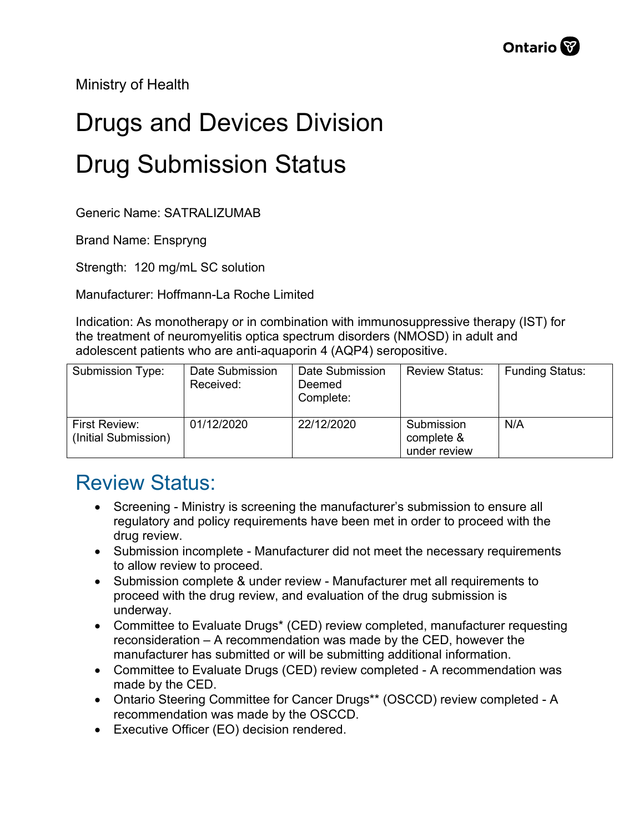Ministry of Health

## Drugs and Devices Division Drug Submission Status

Generic Name: SATRALIZUMAB

Brand Name: Enspryng

Strength: 120 mg/mL SC solution

Manufacturer: Hoffmann-La Roche Limited

Indication: As monotherapy or in combination with immunosuppressive therapy (IST) for the treatment of neuromyelitis optica spectrum disorders (NMOSD) in adult and adolescent patients who are anti-aquaporin 4 (AQP4) seropositive.

| Submission Type:                      | Date Submission<br>Received: | Date Submission<br>Deemed<br>Complete: | <b>Review Status:</b>                    | <b>Funding Status:</b> |
|---------------------------------------|------------------------------|----------------------------------------|------------------------------------------|------------------------|
| First Review:<br>(Initial Submission) | 01/12/2020                   | 22/12/2020                             | Submission<br>complete &<br>under review | N/A                    |

## Review Status:

- Screening Ministry is screening the manufacturer's submission to ensure all regulatory and policy requirements have been met in order to proceed with the drug review.
- Submission incomplete Manufacturer did not meet the necessary requirements to allow review to proceed.
- Submission complete & under review Manufacturer met all requirements to proceed with the drug review, and evaluation of the drug submission is underway.
- Committee to Evaluate Drugs\* (CED) review completed, manufacturer requesting reconsideration – A recommendation was made by the CED, however the manufacturer has submitted or will be submitting additional information.
- Committee to Evaluate Drugs (CED) review completed A recommendation was made by the CED.
- Ontario Steering Committee for Cancer Drugs\*\* (OSCCD) review completed A recommendation was made by the OSCCD.
- Executive Officer (EO) decision rendered.